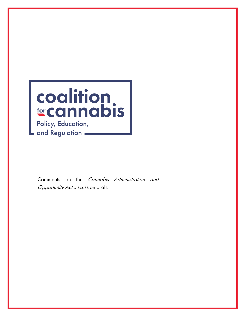

Comments on the Cannabis Administration and **Opportunity Act discussion draft.**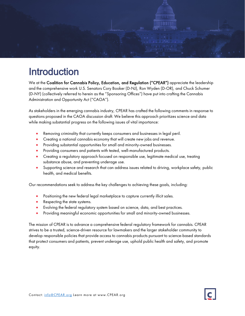

# Introduction

We at the Coalition for Cannabis Policy, Education, and Regulation ("CPEAR") appreciate the leadership and the comprehensive work U.S. Senators Cory Booker (D-NJ), Ron Wyden (D-OR), and Chuck Schumer (D-NY) (collectively referred to herein as the "Sponsoring Offices") have put into crafting the Cannabis Administration and Opportunity Act ("CAOA").

As stakeholders in the emerging cannabis industry, CPEAR has crafted the following comments in response to questions proposed in the CAOA discussion draft. We believe this approach prioritizes science and data while making substantial progress on the following issues of vital importance:

- Removing criminality that currently keeps consumers and businesses in legal peril.
- Creating a national cannabis economy that will create new jobs and revenue.
- Providing substantial opportunities for small and minority-owned businesses.
- Providing consumers and patients with tested, well-manufactured products.
- Creating a regulatory approach focused on responsible use, legitimate medical use, treating substance abuse, and preventing underage use.
- Supporting science and research that can address issues related to driving, workplace safety, public health, and medical benefits.

Our recommendations seek to address the key challenges to achieving these goals, including:

- Positioning the new federal legal marketplace to capture currently illicit sales.
- Respecting the state systems.
- Evolving the federal regulatory system based on science, data, and best practices.
- Providing meaningful economic opportunities for small and minority-owned businesses.

The mission of CPEAR is to advance a comprehensive federal regulatory framework for cannabis. CPEAR strives to be a trusted, science-driven resource for lawmakers and the larger stakeholder community to develop responsible policies that provide access to cannabis products pursuant to science-based standards that protect consumers and patients, prevent underage use, uphold public health and safety, and promote equity.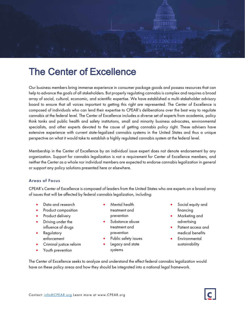

# The Center of Excellence

Our business members bring immense experience in consumer package goods and possess resources that can help to advance the goals of all stakeholders. But properly regulating cannabis is complex and requires a broad array of social, cultural, economic, and scientific expertise. We have established a multi-stakeholder advisory board to ensure that all voices important to getting this right are represented. The Center of Excellence is composed of individuals who can lend their expertise to CPEAR's deliberations over the best way to regulate cannabis at the federal level. The Center of Excellence includes a diverse set of experts from academia, policy think tanks and public health and safety institutions, small and minority business advocates, environmental specialists, and other experts devoted to the cause of getting cannabis policy right. These advisers have extensive experience with current state-legalized cannabis systems in the United States and thus a unique perspective on what it would take to establish a highly regulated cannabis system at the federal level.

Membership in the Center of Excellence by an individual issue expert does not denote endorsement by any organization. Support for cannabis legalization is not a requirement for Center of Excellence members, and neither the Center as a whole nor individual members are expected to endorse cannabis legalization in general or support any policy solutions presented here or elsewhere.

### Areas of Focus

CPEAR's Center of Excellence is composed of leaders from the United States who are experts on a broad array of issues that will be affected by federal cannabis legalization, including:

- Data and research
- Product composition
- Product delivery
- Driving under the influence of drugs
- **Regulatory** enforcement
- Criminal justice reform
- Youth prevention
- Mental health treatment and prevention
- Substance abuse treatment and prevention
- Public safety issues
- Legacy and state systems
- Social equity and financing
- Marketing and advertising
- Patient access and medical benefits
- **Environmental** sustainability

The Center of Excellence seeks to analyze and understand the effect federal cannabis legalization would have on these policy areas and how they should be integrated into a national legal framework.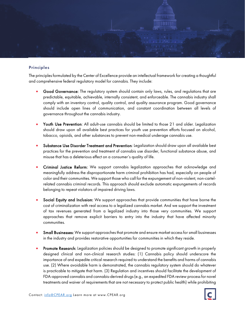

### Principles

The principles formulated by the Center of Excellence provide an intellectual framework for creating a thoughtful and comprehensive federal regulatory model for cannabis. They include:

- Good Governance: The regulatory system should contain only laws, rules, and regulations that are predictable, equitable, achievable, internally consistent, and enforceable. The cannabis industry shall comply with an inventory control, quality control, and quality assurance program. Good governance should include open lines of communication, and constant coordination between all levels of governance throughout the cannabis industry.
- Youth Use Prevention: All adult-use cannabis should be limited to those 21 and older. Legalization should draw upon all available best practices for youth use prevention efforts focused on alcohol, tobacco, opioids, and other substances to prevent non-medical underage cannabis use.
- Substance Use Disorder Treatment and Prevention: Legalization should draw upon all available best practices for the prevention and treatment of cannabis use disorder, functional substance abuse, and misuse that has a deleterious effect on a consumer's quality of life.
- Criminal Justice Reform: We support cannabis legalization approaches that acknowledge and meaningfully address the disproportionate harm criminal prohibition has had, especially on people of color and their communities. We support those who call for the expungement of non-violent, non-cartelrelated cannabis criminal records. This approach should exclude automatic expungements of records belonging to repeat violators of impaired driving laws.
- Social Equity and Inclusion: We support approaches that provide communities that have borne the cost of criminalization with real access to a legalized cannabis market. And we support the investment of tax revenues generated from a legalized industry into those very communities. We support approaches that remove explicit barriers to entry into the industry that have affected minority communities.
- Small Businesses: We support approaches that promote and ensure market access for small businesses in the industry and provides restorative opportunities for communities in which they reside.
- Promote Research: Legalization policies should be designed to promote significant growth in properly designed clinical and non-clinical research studies: (1) Cannabis policy should underscore the importance of and expedite critical research required to understand the benefits and harms of cannabis use. (2) Where avoidable harm is demonstrated, the cannabis regulatory system should do whatever is practicable to mitigate that harm. (3) Regulation and incentives should facilitate the development of FDA-approved cannabis and cannabis-derived drugs (e.g., an expedited FDA review process for novel treatments and waiver of requirements that are not necessary to protect public health) while prohibiting

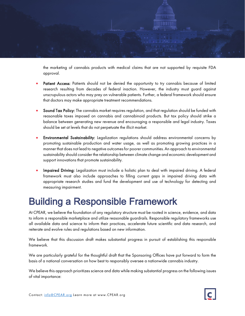

the marketing of cannabis products with medical claims that are not supported by requisite FDA approval.

- Patient Access: Patients should not be denied the opportunity to try cannabis because of limited research resulting from decades of federal inaction. However, the industry must guard against unscrupulous actors who may prey on vulnerable patients. Further, a federal framework should ensure that doctors may make appropriate treatment recommendations.
- Sound Tax Policy: The cannabis market requires regulation, and that regulation should be funded with reasonable taxes imposed on cannabis and cannabinoid products. But tax policy should strike a balance between generating new revenue and encouraging a responsible and legal industry. Taxes should be set at levels that do not perpetuate the illicit market.
- Environmental Sustainability: Legalization regulations should address environmental concerns by promoting sustainable production and water usage, as well as promoting growing practices in a manner that does not lead to negative outcomes for poorer communities. An approach to environmental sustainability should consider the relationship between climate change and economic development and support innovations that promote sustainability.
- Impaired Driving: Legalization must include a holistic plan to deal with impaired driving. A federal framework must also include approaches to filling current gaps in impaired driving data with appropriate research studies and fund the development and use of technology for detecting and measuring impairment.

## Building a Responsible Framework

At CPEAR, we believe the foundation of any regulatory structure must be rooted in science, evidence, and data to inform a responsible marketplace and utilize reasonable guardrails. Responsible regulatory frameworks use all available data and science to inform their practices, accelerate future scientific and data research, and reiterate and evolve rules and regulations based on new information.

We believe that this discussion draft makes substantial progress in pursuit of establishing this responsible framework.

We are particularly grateful for the thoughtful draft that the Sponsoring Offices have put forward to form the basis of a national conversation on how best to responsibly oversee a nationwide cannabis industry.

We believe this approach prioritizes science and data while making substantial progress on the following issues of vital importance: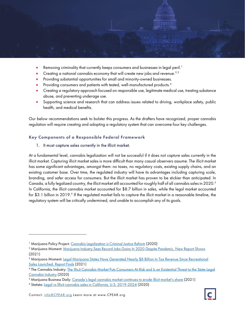

- Removing criminality that currently keeps consumers and businesses in legal peril.<sup>[1](#page-5-0)</sup>
- Creating a national cannabis economy that will create new jobs and revenue.<sup>[2,](#page-5-1)[3](#page-5-2)</sup>
- Providing substantial opportunities for small and minority-owned businesses.
- Providing consumers and patients with tested, well-manufactured products.<sup>[4](#page-5-3)</sup>
- Creating a regulatory approach focused on responsible use, legitimate medical use, treating substance abuse, and preventing underage use.
- Supporting science and research that can address issues related to driving, workplace safety, public health, and medical benefits.

Our below recommendations seek to bolster this progress. As the drafters have recognized, proper cannabis regulation will require creating and adopting a regulatory system that can overcome four key challenges.

#### Key Components of a Responsible Federal Framework

#### 1. It must capture sales currently in the illicit market.

At a fundamental level, cannabis legalization will not be successful if it does not capture sales currently in the illicit market. Capturing illicit market sales is more difficult than many casual observers assume. The illicit market has some significant advantages, amongst them: no taxes, no regulatory costs, existing supply chains, and an existing customer base. Over time, the regulated industry will have its advantages including capturing scale, branding, and safer access for consumers. But the illicit market has proven to be stickier than anticipated. In Canada, a fully legalized country, the illicit market still accounted for roughly half of all cannabis sales in 2020.<sup>[5](#page-5-4)</sup> In California, the illicit cannabis market accounted for \$8.7 billion in sales, while the legal market accounted for \$3.1 billion in 2019.<sup>[6](#page-5-5)</sup> If the regulated market fails to capture the illicit market in a reasonable timeline, the regulatory system will be critically undermined, and unable to accomplish any of its goals.

<span id="page-5-0"></span><sup>&</sup>lt;sup>1</sup> Marijuana Policy Project: [Cannabis Legalization is Criminal Justice Reform](https://www.mpp.org/issues/criminal-justice/cannabis-legalization-is-criminal-justice-reform/) (2020)

<span id="page-5-1"></span><sup>2</sup> Marijuana Moment: [Marijuana Industry Sees Record Jobs Gains In 2020 Despite Pandemic, New Report Shows](https://www.marijuanamoment.net/marijuana-industry-sees-record-jobs-gains-in-2020-despite-pandemic-new-report-shows/) (2021)

<span id="page-5-2"></span><sup>&</sup>lt;sup>3</sup> Marijuana Moment: Legal Marijuana States Have Generated Nearly \$8 Billion In Tax Revenue Since Recreational [Sales Launched, Report Finds](https://www.marijuanamoment.net/legal-marijuana-states-have-generated-nearly-8-billion-in-tax-revenue-since-recreational-sales-launched-report-finds/) (2021)

<span id="page-5-3"></span><sup>4</sup> The Cannabis Industry: [The Illicit Cannabis Market Puts Consumers At-Risk and Is an Existential Threat to the State-Legal](https://thecannabisindustry.org/the-illicit-cannabis-market-puts-consumers-at-risk-and-is-an-existential-threat-to-the-state-legal-cannabis-industry/)  [Cannabis Industry](https://thecannabisindustry.org/the-illicit-cannabis-market-puts-consumers-at-risk-and-is-an-existential-threat-to-the-state-legal-cannabis-industry/) (2020)

<span id="page-5-4"></span><sup>&</sup>lt;sup>5</sup> Marijuana Business Daily: [Canada's legal cannabis market continues to erode illicit market's share](https://mjbizdaily.com/canadas-legal-cannabis-market-continues-to-erode-illicit-markets-share/) (2021)

<span id="page-5-5"></span><sup>6</sup> Statista: [Legal vs Illicit cannabis sales in California, U.S. 2019-2024](https://www.statista.com/statistics/1075946/legal-vs-illicit-cannabis-sales-california-us/) (2020)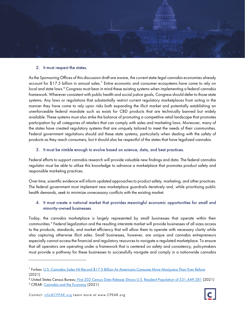

#### 2. It must respect the states.

As the Sponsoring Offices of this discussion draft are aware, the current state-legal cannabis economies already account for \$1[7](#page-6-0).5 billion in annual sales.<sup>7</sup> Entire economic and consumer ecosystems have come to rely on local and state laws. [8](#page-6-1) Congress must bear in mind these existing systems when implementing a federal cannabis framework. Wherever consistent with public health and social justice goals, Congress should defer to those state systems. Any laws or regulations that substantially restrict current regulatory marketplaces from acting in the manner they have come to rely upon risks both expanding the illicit market and potentially establishing an unenforceable federal mandate such as exists for CBD products that are technically banned but widely available. These systems must also strike the balance of promoting a competitive retail landscape that promotes participation by all categories of retailers that can comply with sales and marketing laws. Moreover, many of the states have created regulatory systems that are uniquely tailored to meet the needs of their communities. Federal government regulations should aid these state systems, particularly when dealing with the safety of products as they reach consumers, but it should also be respectful of the states that have legalized cannabis.

#### 3. It must be nimble enough to evolve based on science, data, and best practices.

Federal efforts to support cannabis research will provide valuable new findings and data. The federal cannabis regulator must be able to utilize this knowledge to advance a marketplace that promotes product safety and responsible marketing practices.

Over time, scientific evidence will inform updated approaches to product safety, marketing, and other practices. The federal government must implement new marketplace guardrails iteratively and, while prioritizing public health demands, seek to minimize unnecessary conflicts with the existing market.

### 4. It must create a national market that provides meaningful economic opportunities for small and minority-owned businesses.

Today, the cannabis marketplace is largely represented by small businesses that operate within their communities.[9](#page-6-2) Federal legalization and the resulting interstate market will provide businesses of all sizes access to the products, standards, and market efficiency that will allow them to operate with necessary clarity while also capturing otherwise illicit sales. Small businesses, however, are unique and cannabis entrepreneurs especially cannot access the financial and regulatory resources to navigate a regulated marketplace. To ensure that all operators are operating under a framework that is centered on safety and consistency, policymakers must provide a pathway for these businesses to successfully navigate and comply in a nationwide cannabis

<span id="page-6-0"></span><sup>7</sup> Forbes: [U.S. Cannabis Sales Hit Record \\$17.5 Billion As Americans Consume More Marijuana Than Ever Before](https://www.forbes.com/sites/willyakowicz/2021/03/03/us-cannabis-sales-hit-record-175-billion-as-americans-consume-more-marijuana-than-ever-before/?sh=d9346752bcf7)  [\(2021\)](https://www.forbes.com/sites/willyakowicz/2021/03/03/us-cannabis-sales-hit-record-175-billion-as-americans-consume-more-marijuana-than-ever-before/?sh=d9346752bcf7)

<span id="page-6-1"></span><sup>&</sup>lt;sup>8</sup> United States Census Bureau<u>: First 202 Census Data Release Shows U.S. Resident Population of 331,449,281</u> (2021)

<span id="page-6-2"></span><sup>&</sup>lt;sup>9</sup> CPEAR[: Cannabis and the Economy](https://www.cpear.org/wp-content/uploads/2021/08/210813-CPEAR-Cannabis-Economy.pdf) (2021)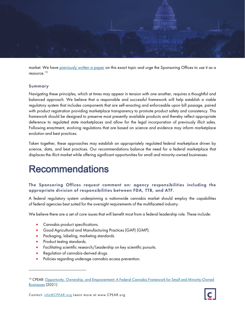

market. We have [previously written a paper](https://www.cpear.org/wp-content/uploads/2021/06/210617-CPEAR-Small-Minority-Owned-Business-digital.pdf) on this exact topic and urge the Sponsoring Offices to use it as a resource.[10](#page-7-0)

#### Summary

Navigating these principles, which at times may appear in tension with one another, requires a thoughtful and balanced approach. We believe that a responsible and successful framework will help establish a viable regulatory system that includes components that are self-enacting and enforceable upon bill passage, paired with product registration providing marketplace transparency to promote product safety and consistency. This framework should be designed to preserve most presently available products and thereby reflect appropriate deference to regulated state marketplaces and allow for the legal incorporation of previously illicit sales. Following enactment, evolving regulations that are based on science and evidence may inform marketplace evolution and best practices.

Taken together, these approaches may establish an appropriately regulated federal marketplace driven by science, data, and best practices. Our recommendations balance the need for a federal marketplace that displaces the illicit market while offering significant opportunities for small and minority-owned businesses.

## Recommendations

## The Sponsoring Offices request comment on: agency responsibilities including the appropriate division of responsibilities between FDA, TTB, and ATF.

A federal regulatory system underpinning a nationwide cannabis market should employ the capabilities of federal agencies best suited for the oversight requirements of the multifaceted industry.

We believe there are a set of core issues that will benefit most from a federal leadership role. These include:

- Cannabis product specifications.
- Good Agricultural and Manufacturing Practices (GAP) (GMP).
- Packaging, labeling, marketing standards.
- Product testing standards.
- Facilitating scientific research/Leadership on key scientific pursuits.
- Regulation of cannabis-derived drugs.
- Policies regarding underage cannabis access prevention.



<span id="page-7-0"></span><sup>&</sup>lt;sup>10</sup> CPEAR: Opportunity, Ownership, and Empowerment: A Federal Cannabis Framework for Small and Minority-Owned [Businesses](https://www.cpear.org/wp-content/uploads/2021/06/210617-CPEAR-Small-Minority-Owned-Business-digital.pdf) (2021)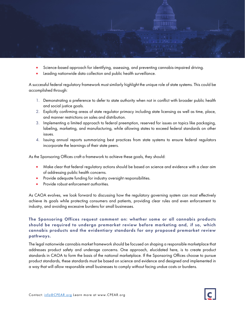

- Science-based approach for identifying, assessing, and preventing cannabis-impaired driving.
- Leading nationwide data collection and public health surveillance.

A successful federal regulatory framework must similarly highlight the unique role of state systems. This could be accomplished through:

- 1. Demonstrating a preference to defer to state authority when not in conflict with broader public health and social justice goals.
- 2. Explicitly confirming areas of state regulator primacy including state licensing as well as time, place, and manner restrictions on sales and distribution.
- 3. Implementing a limited approach to federal preemption, reserved for issues on topics like packaging, labeling, marketing, and manufacturing, while allowing states to exceed federal standards on other issues.
- 4. Issuing annual reports summarizing best practices from state systems to ensure federal regulators incorporate the learnings of their state peers.

As the Sponsoring Offices craft a framework to achieve these goals, they should:

- Make clear that federal regulatory actions should be based on science and evidence with a clear aim of addressing public health concerns.
- Provide adequate funding for industry oversight responsibilities.
- Provide robust enforcement authorities.

As CAOA evolves, we look forward to discussing how the regulatory governing system can most effectively achieve its goals while protecting consumers and patients, providing clear rules and even enforcement to industry, and avoiding excessive burdens for small businesses.

## The Sponsoring Offices request comment on: whether some or all cannabis products should be required to undergo premarket review before marketing and, if so, which cannabis products and the evidentiary standards for any proposed premarket review pathways.

The legal nationwide cannabis market framework should be focused on shaping a responsible marketplace that addresses product safety and underage concerns. One approach, elucidated here, is to create product standards in CAOA to form the basis of the national marketplace. If the Sponsoring Offices choose to pursue product standards, these standards must be based on science and evidence and designed and implemented in a way that will allow responsible small businesses to comply without facing undue costs or burdens.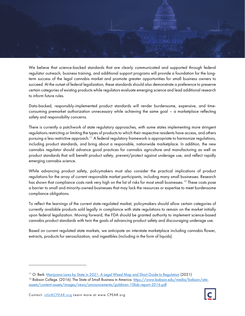

We believe that science-backed standards that are clearly communicated and supported through federal regulator outreach, business training, and additional support programs will provide a foundation for the longterm success of the legal cannabis market and promote greater opportunities for small business owners to succeed. At the outset of federal legalization, these standards should also demonstrate a preference to preserve certain categories of existing products while regulators evaluate emerging science and lead additional research to inform future rules.

Data-backed, responsibly-implemented product standards will render burdensome, expensive, and timeconsuming premarket authorization unnecessary while achieving the same goal – a marketplace reflecting safety and responsibility concerns.

There is currently a patchwork of state regulatory approaches, with some states implementing more stringent regulations restricting or limiting the types of products to which their respective residents have access, and others pursuing a less restrictive approach.<sup>[11](#page-9-0)</sup> A federal regulatory framework is appropriate to harmonize regulations, including product standards, and bring about a responsible, nationwide marketplace. In addition, the new cannabis regulator should advance good practices for cannabis agriculture and manufacturing as well as product standards that will benefit product safety, prevent/protect against underage use, and reflect rapidly emerging cannabis science.

While advancing product safety, policymakers must also consider the practical implications of product regulations for the array of current responsible market participants, including many small businesses. Research has shown that compliance costs rank very high on the list of risks for most small businesses.<sup>[12](#page-9-1)</sup> These costs pose a barrier to small and minority-owned businesses that may lack the resources or expertise to meet burdensome compliance obligations.

To reflect the learnings of the current state-regulated market, policymakers should allow certain categories of currently available products sold legally in compliance with state regulations to remain on the market initially upon federal legalization. Moving forward, the FDA should be granted authority to implement science-based cannabis product standards with twin the goals of advancing product safety and discouraging underage use.

Based on current regulated state markets, we anticipate an interstate marketplace including cannabis flower, extracts, products for aerosolization, and ingestibles (including in the form of liquids).



<span id="page-9-0"></span><sup>&</sup>lt;sup>11</sup> O. Berk[: Marijuana Laws by State in 2021: A Legal Weed Map and Short Guide to Regulation](https://www.oberk.com/marijuanalawsbystate) (2021)

<span id="page-9-1"></span><sup>&</sup>lt;sup>12</sup> Babson College. (2016). The State of Small Business in America[. https://www.babson.edu/media/babson/site](https://www.babson.edu/media/babson/site-assets/content-assets/images/news/announcements/goldman-10ksb-report-2016.pdf)[assets/content-assets/images/news/announcements/goldman-10ksb-report-2016.pdf](https://www.babson.edu/media/babson/site-assets/content-assets/images/news/announcements/goldman-10ksb-report-2016.pdf)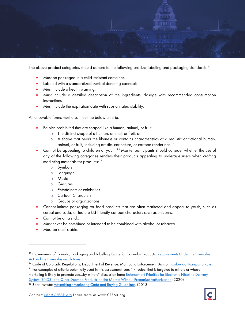

The above product categories should adhere to the following product labeling and packaging standards:  $^{\rm 13}$  $^{\rm 13}$  $^{\rm 13}$ 

- Must be packaged in a child-resistant container.
- Labeled with a standardized symbol denoting cannabis.
- Must include a health warning.
- Must include a detailed description of the ingredients, dosage with recommended consumption instructions.
- Must include the expiration date with substantiated stability.

All allowable forms must also meet the below criteria:

- Edibles prohibited that are shaped like a human, animal, or fruit:
	- o The distinct shape of a human, animal, or fruit; or
	- $\circ$  A shape that bears the likeness or contains characteristics of a realistic or fictional human, animal, or fruit, including artistic, caricature, or cartoon renderings.<sup>[14](#page-10-1)</sup>
- Cannot be appealing to children or youth.<sup>[15](#page-10-2)</sup> Market participants should consider whether the use of any of the following categories renders their products appealing to underage users when crafting marketing materials for products:<sup>[16](#page-10-3)</sup>
	- o Symbols
	- o Language
	- o Music
	- o Gestures
	- o Entertainers or celebrities
	- o Cartoon Characters
	- o Groups or organizations
- Cannot imitate packaging for food products that are often marketed and appeal to youth, such as cereal and soda, or feature kid-friendly cartoon characters such as unicorns.
- Cannot be on a stick.
- Must never be combined or intended to be combined with alcohol or tobacco.
- Must be shelf-stable.

<span id="page-10-0"></span><sup>&</sup>lt;sup>13</sup> Government of Canada; Packaging and Labelling Guide for Cannabis Products; Requirements Under the Cannabis [Act and the Cannabis regulations.](https://www.canada.ca/en/health-canada/services/cannabis-regulations-licensed-producers/packaging-labelling-guide-cannabis-products/guide.html)<br><sup>14</sup> Code of Colorado Regulations; Department of Revenue: Marijuana Enforcement Division: <u>Colorado Marijuana Rules</u>

<span id="page-10-2"></span><span id="page-10-1"></span><sup>&</sup>lt;sup>15</sup> For examples of criteria potentially used in this assessment, see: "[P]roduct that is targeted to minors or whose marketing is likely to promote use...by minors" discussion here: Enforcement Priorities for Electronic Nicotine Delivery [System \(ENDS\) and Other Deemed Products on the Market Without Premarket Authorization](https://www.fda.gov/regulatory-information/search-fda-guidance-documents/enforcement-priorities-electronic-nicotine-delivery-system-ends-and-other-deemed-products-market) (2020)

<span id="page-10-3"></span><sup>&</sup>lt;sup>16</sup> Beer Institute[: Advertising/Marketing Code and Buying Guidelines.](https://www.beerinstitute.org/wp-content/uploads/2018/12/BEER-6735-2018-Beer-Ad-Code-Update-Brochure-for-web.pdf) (2018)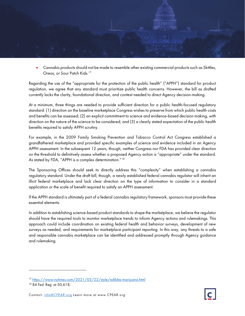

• Cannabis products should not be made to resemble other existing commercial products such as Skittles, Oreos, or Sour Patch Kids.<sup>[17](#page-11-0)</sup>

Regarding the use of the "appropriate for the protection of the public health" ("APPH") standard for product regulation, we agree that any standard must prioritize public health concerns. However, the bill as drafted currently lacks the clarity, foundational direction, and context needed to direct Agency decision-making.

At a minimum, three things are needed to provide sufficient direction for a public health-focused regulatory standard: (1) direction on the baseline marketplace Congress wishes to preserve from which public health costs and benefits can be assessed; (2) an explicit commitment to science and evidence-based decision making, with direction on the nature of the science to be considered; and (3) a clearly stated expectation of the public health benefits required to satisfy APPH scrutiny.

For example, in the 2009 Family Smoking Prevention and Tobacco Control Act Congress established a grandfathered marketplace and provided specific examples of science and evidence included in an Agency APPH assessment. In the subsequent 12 years, though, neither Congress nor FDA has provided clear direction on the threshold to definitively assess whether a proposed Agency action is "appropriate" under the standard. As stated by FDA, "APPH is a complex determination."<sup>[18](#page-11-1)</sup>

The Sponsoring Offices should seek to directly address this "complexity" when establishing a cannabis regulatory standard. Under the draft bill, though, a newly established federal cannabis regulator will inherit an illicit federal marketplace and lack clear direction on the type of information to consider in a standard application or the scale of benefit required to satisfy an APPH assessment.

If the APPH standard is ultimately part of a federal cannabis regulatory framework, sponsors must provide these essential elements.

In addition to establishing science-based product standards to shape the marketplace, we believe the regulator should have the required tools to monitor marketplace trends to inform Agency actions and rulemakings. This approach could include coordination on existing federal health and behavior surveys, development of new surveys as needed, and requirements for marketplace participant reporting. In this way, any threats to a safe and responsible cannabis marketplace can be identified and addressed promptly through Agency guidance and rulemaking.

<span id="page-11-0"></span><sup>&</sup>lt;sup>17</sup> <https://www.nytimes.com/2021/05/22/style/edibles-marijuana.html>

<span id="page-11-1"></span><sup>18</sup> 84 Fed. Reg. at 50,618.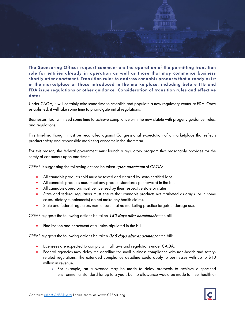

The Sponsoring Offices request comment on: the operation of the permitting transition rule for entities already in operation as well as those that may commence business shortly after enactment. Transition rules to address cannabis products that already exist in the marketplace or those introduced in the marketplace, including before TTB and FDA issue regulations or other guidance, Consideration of transition rules and effective dates.

Under CAOA, it will certainly take some time to establish and populate a new regulatory center at FDA. Once established, it will take some time to promulgate initial regulations.

Businesses, too, will need some time to achieve compliance with the new statute with progeny guidance, rules, and regulations.

This timeline, though, must be reconciled against Congressional expectation of a marketplace that reflects product safety and responsible marketing concerns in the short term.

For this reason, the federal government must launch a regulatory program that reasonably provides for the safety of consumers upon enactment.

CPEAR is suggesting the following actions be taken  $upon$  enactment of CAOA:

- All cannabis products sold must be tested and cleared by state-certified labs.
- All cannabis products must meet any product standards put forward in the bill.
- All cannabis operators must be licensed by their respective state or states.
- State and federal regulators must ensure that cannabis products not marketed as drugs (or in some cases, dietary supplements) do not make any health claims.
- State and federal regulators must ensure that no marketing practice targets underage use.

CPEAR suggests the following actions be taken 180 days after enactment of the bill:

• Finalization and enactment of all rules stipulated in the bill.

CPEAR suggests the following actions be taken 365 days after enactment of the bill:

- Licensees are expected to comply with all laws and regulations under CAOA.
- Federal agencies may delay the deadline for small business compliance with non-health and safetyrelated regulations. The extended compliance deadline could apply to businesses with up to \$10 million in revenue.
	- o For example, an allowance may be made to delay protocols to achieve a specified environmental standard for up to a year, but no allowance would be made to meet health or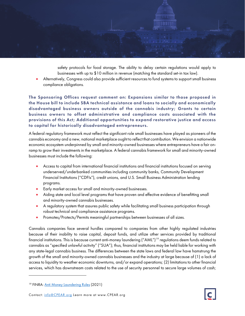safety protocols for food storage. The ability to delay certain regulations would apply to businesses with up to \$10 million in revenue (matching the standard set-in tax law).

• Alternatively, Congress could also provide sufficient resources to fund systems to support small business compliance obligations.

The Sponsoring Offices request comment on: Expansions similar to those proposed in the House bill to include SBA technical assistance and loans to socially and economically disadvantaged business owners outside of the cannabis industry; Grants to certain business owners to offset administrative and compliance costs associated with the provisions of this Act; Additional opportunities to expand restorative justice and access to capital for historically disadvantaged entrepreneurs.

A federal regulatory framework must reflect the significant role small businesses have played as pioneers of the cannabis economy and a new, national marketplace ought to reflect that contribution. We envision a nationwide economic ecosystem underpinned by small and minority-owned businesses where entrepreneurs have a fair onramp to grow their investments in the marketplace. A federal cannabis framework for small and minority-owned businesses must include the following:

- Access to capital from international financial institutions and financial institutions focused on serving underserved/underbanked communities including community banks, Community Development Financial Institutions ("CDFIs"), credit unions, and U.S. Small Business Administration lending programs.
- Early market access for small and minority-owned businesses.
- Aiding state and local level programs that have proven and effective evidence of benefitting small and minority-owned cannabis businesses.
- A regulatory system that assures public safety while facilitating small business participation through robust technical and compliance assistance programs.
- Promotes/Protects/Permits meaningful partnerships between businesses of all sizes.

Cannabis companies face several hurdles compared to companies from other highly regulated industries because of their inability to raise capital, deposit funds, and utilize other services provided by traditional financial institutions. This is because current anti-money laundering ("AML") [19](#page-13-0) regulations deem funds related to cannabis as "specified unlawful activity" ("SUA"); thus, financial institutions may be held liable for working with any state-legal cannabis business. The differences between the state laws and federal law have hamstrung the growth of the small and minority-owned cannabis businesses and the industry at large because of (1) a lack of access to liquidity to weather economic downturns, and/or expand operations; (2) limitations to other financial services, which has downstream costs related to the use of security personnel to secure large volumes of cash;

<span id="page-13-0"></span><sup>&</sup>lt;sup>19</sup> FINRA: **Anti Money Laundering Rules** (2021)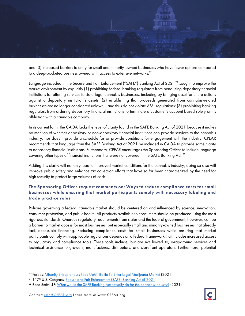

and (3) increased barriers to entry for small and minority-owned businesses who have fewer options compared to a deep-pocketed business owned with access to extensive networks.<sup>[20](#page-14-0)</sup>

Language included in the Secure and Fair Enforcement ("SAFE") Banking Act of 2021<sup>21</sup> sought to improve the market environment by explicitly (1) prohibiting federal banking regulators from penalizing depository financial institutions for offering services to state-legal cannabis businesses, including by bringing asset forfeiture actions against a depository institution's assets; (2) establishing that proceeds generated from cannabis-related businesses are no longer considered unlawful, and thus do not violate AML regulations; (3) prohibiting banking regulators from ordering depository financial institutions to terminate a customer's account based solely on its affiliation with a cannabis company.

In its current form, the CAOA lacks the level of clarity found in the SAFE Banking Act of 2021 because it makes no mention of whether depository or non-depository financial institutions can provide services to the cannabis industry, nor does it provide a schedule for or provide conditions for engagement with the industry. CPEAR recommends that language from the SAFE Banking Act of 2021 be included in CAOA to provide some clarity to depository financial institutions. Furthermore, CPEAR encourages the Sponsoring Offices to include language covering other types of financial institutions that were not covered in the SAFE Banking Act. $^{22}$  $^{22}$  $^{22}$ 

Adding this clarity will not only lead to improved market conditions for the cannabis industry, doing so also will improve public safety and enhance tax collection efforts that have so far been characterized by the need for high security to protect large volumes of cash.

## The Sponsoring Offices request comments on: Ways to reduce compliance costs for small businesses while ensuring that market participants comply with necessary labeling and trade practice rules.

Policies governing a federal cannabis market should be centered on and influenced by science, innovation, consumer protection, and public health. All products available to consumers should be produced using the most rigorous standards. Onerous regulatory requirements from states and the federal government, however, can be a barrier to market access for most businesses, but especially small and minority-owned businesses that already lack accessible financing. Reducing compliance costs for small businesses while ensuring that market participants comply with applicable regulations depends on a federal framework that includes increased access to regulatory and compliance tools. These tools include, but are not limited to, wraparound services and technical assistance to growers, manufactures, distributors, and storefront operators. Furthermore, potential

<span id="page-14-0"></span><sup>&</sup>lt;sup>20</sup> Forbes: [Minority Entrepreneurs Face Uphill Battle To Enter Legal Marijuana Market](https://www.forbes.com/sites/zengernews/2021/04/30/minority-entrepreneurs-face-uphill-battle-to-enter-legal-marijuana-market/?sh=2357e8da1fb4) (2021)

<span id="page-14-1"></span><sup>&</sup>lt;sup>21</sup> 117<sup>th</sup> U.S. Congress: [Secure and Fair Enforcement \(SAFE\) Banking Act of 2021](https://www.congress.gov/bill/117th-congress/house-bill/1996)

<span id="page-14-2"></span><sup>&</sup>lt;sup>22</sup> Reed Smith LLP: [What would the SAFE Banking Act actually do for the cannabis industry?](https://viewpoints.reedsmith.com/post/102h0jj/what-would-the-safe-banking-act-actually-do-for-the-cannabis-industry) (2021)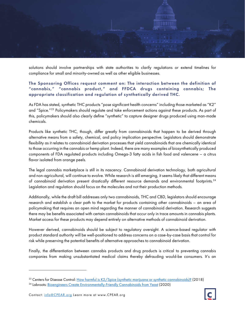

solutions should involve partnerships with state authorities to clarify regulations or extend timelines for compliance for small and minority-owned as well as other eligible businesses.

## The Sponsoring Offices request comment on: The interaction between the definition of "cannabis," "cannabis product," and FFDCA drugs containing cannabis; The appropriate classification and regulation of synthetically derived THC.

As FDA has stated, synthetic THC products "pose significant health concerns" including those marketed as "K2" and "Spice."<sup>[23](#page-15-0)</sup> Policymakers should regulate and take enforcement actions against these products. As part of this, policymakers should also clearly define "synthetic" to capture designer drugs produced using man-made chemicals.

Products like synthetic THC, though, differ greatly from cannabinoids that happen to be derived through alternative means from a safety, chemical, and policy implication perspective. Legislators should demonstrate flexibility as it relates to cannabinoid derivation processes that yield cannabinoids that are chemically identical to those occurring in the cannabis or hemp plant. Indeed, there are many examples of biosynthetically produced components of FDA regulated products including Omega-3 fatty acids in fish food and valencene – a citrus flavor isolated from orange peels.

The legal cannabis marketplace is still in its nascency. Cannabinoid derivation technology, both agricultural and non-agricultural, will continue to evolve. While research is still emerging, it seems likely that different means of cannabinoid derivation present drastically different resource demands and environmental footprints.[24](#page-15-1) Legislation and regulation should focus on the molecules and not their production methods.

Additionally, while the draft bill addresses only two cannabinoids, THC and CBD, legislators should encourage research and establish a clear path to the market for products containing other cannabinoids – an area of policymaking that requires an open mind regarding the manner of cannabinoid derivation. Research suggests there may be benefits associated with certain cannabinoids that occur only in trace amounts in cannabis plants. Market access for these products may depend entirely on alternative methods of cannabinoid derivation.

However derived, cannabinoids should be subject to regulatory oversight. A science-based regulator with product standard authority will be well-positioned to address concerns on a case-by-case basis that control for risk while preserving the potential benefits of alternative approaches to cannabinoid derivation.

Finally, the differentiation between cannabis products and drug products is critical to preventing cannabis companies from making unsubstantiated medical claims thereby defrauding would-be consumers. It's an

<span id="page-15-0"></span><sup>&</sup>lt;sup>23</sup> Centers for Disease Control: [How harmful is K2/Spice \(synthetic marijuana or synthetic cannabinoids\)?](https://www.cdc.gov/marijuana/faqs/how-harmful-is-k2-spice.html) (2018)

<span id="page-15-1"></span><sup>&</sup>lt;sup>24</sup> Labroots: [Bioengineers Create Environmentally-Friendly Cannabinoids from Yeast](https://www.labroots.com/trending/cannabis-sciences/17935/bioengineers-create-environmentally-friendly-cannabinoids-yeast) (2020)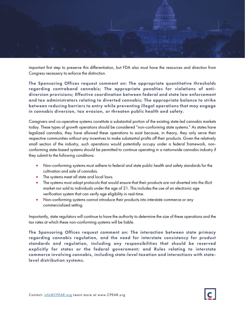

important first step to preserve this differentiation, but FDA also must have the resources and direction from Congress necessary to enforce the distinction.

The Sponsoring Offices request comment on: The appropriate quantitative thresholds regarding contraband cannabis; The appropriate penalties for violations of antidiversion provisions; Effective coordination between federal and state law enforcement and tax administrators relating to diverted cannabis; The appropriate balance to strike between reducing barriers to entry while preventing illegal operations that may engage in cannabis diversion, tax evasion, or threaten public health and safety.

Caregivers and co-operative systems constitute a substantial portion of the existing state-led cannabis markets today. These types of growth operations should be considered "non-conforming state systems." As states have legalized cannabis, they have allowed these operations to exist because, in theory, they only serve their respective communities without any incentives to make substantial profits off their products. Given the relatively small section of the industry, such operations would potentially occupy under a federal framework, nonconforming state-based systems should be permitted to continue operating in a nationwide cannabis industry if they submit to the following conditions:

- Non-conforming systems must adhere to federal and state public health and safety standards for the cultivation and sale of cannabis.
- The systems meet all state and local laws.
- The systems must adopt protocols that would ensure that their products are not diverted into the illicit market nor sold to individuals under the age of 21. This includes the use of an electronic age verification system that can verify age eligibility in real-time.
- Non-conforming systems cannot introduce their products into interstate commerce or any commercialized setting.

Importantly, state regulators will continue to have the authority to determine the size of these operations and the tax rates at which these non-conforming systems will be liable.

The Sponsoring Offices request comment on: The interaction between state primacy regarding cannabis regulation, and the need for interstate consistency for product standards and regulation, including any responsibilities that should be reserved explicitly for states or the federal government; and Rules relating to interstate commerce involving cannabis, including state-level taxation and interactions with statelevel distribution systems.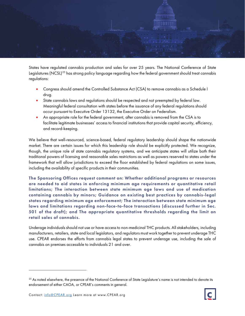

States have regulated cannabis production and sales for over 25 years. The National Conference of State Legislatures (NCSL)<sup>[25](#page-17-0)</sup> has strong policy language regarding how the federal government should treat cannabis regulations:

- Congress should amend the Controlled Substance Act (CSA) to remove cannabis as a Schedule I drug.
- State cannabis laws and regulations should be respected and not preempted by federal law. Meaningful federal consultation with states before the issuance of any federal regulations should occur pursuant to Executive Order 13132, the Executive Order on Federalism.
- An appropriate role for the federal government, after cannabis is removed from the CSA is to facilitate legitimate businesses' access to financial institutions that provide capital security, efficiency, and record-keeping.

We believe that well-resourced, science-based, federal regulatory leadership should shape the nationwide market. There are certain issues for which this leadership role should be explicitly protected. We recognize, though, the unique role of state cannabis regulatory systems, and we anticipate states will utilize both their traditional powers of licensing and reasonable sales restrictions as well as powers reserved to states under the framework that will allow jurisdictions to exceed the floor established by federal regulations on some issues, including the availability of specific products in their communities.

The Sponsoring Offices request comment on: Whether additional programs or resources are needed to aid states in enforcing minimum age requirements or quantitative retail limitations; The interaction between state minimum age laws and use of medication containing cannabis by minors; Guidance on existing best practices by cannabis-legal states regarding minimum age enforcement; The interaction between state minimum age laws and limitations regarding non-face-to-face transactions (discussed further in Sec. 501 of the draft); and The appropriate quantitative thresholds regarding the limit on retail sales of cannabis.

Underage individuals should not use or have access to non-medicinal THC products. All stakeholders, including manufacturers, retailers, state and local legislators, and regulators must work together to prevent underage THC use. CPEAR endorses the efforts from cannabis legal states to prevent underage use, including the sale of cannabis on premises accessible to individuals 21 and over.



<span id="page-17-0"></span><sup>&</sup>lt;sup>25</sup> As noted elsewhere, the presence of the National Conference of State Legislature's name is not intended to denote its endorsement of either CAOA, or CPEAR's comments in general.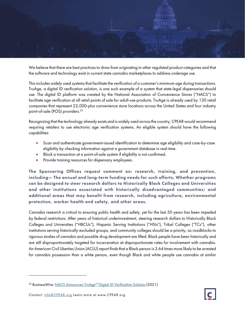

We believe that there are best practices to draw from originating in other regulated product categories and that the software and technology exist in current state cannabis marketplaces to address underage use.

This includes widely used systems that facilitate the verification of a customer's minimum age during transactions. TruAge, a digital ID verification solution, is one such example of a system that state-legal dispensaries should use. The digital ID platform was created by the National Association of Convenience Stores ("NACS") to facilitate age verification at all retail points of sale for adult-use products. TruAge is already used by 130 retail companies that represent 22,000-plus convenience store locations across the United States and four industry point-of-sale (POS) providers.<sup>[26](#page-18-0)</sup>

Recognizing that the technology already exists and is widely used across the country, CPEAR would recommend requiring retailers to use electronic age verification systems. An eligible system should have the following capabilities:

- Scan and authenticate government-issued identification to determine age eligibility and case-by-case eligibility by checking information against a government database in real-time.
- Block a transaction at a point-of-sale system if eligibility is not confirmed.
- Provide training resources for dispensary employees.

The Sponsoring Offices request comment on: research, training, and prevention, including— The annual and long-term funding needs for such efforts; Whether programs can be designed to steer research dollars to Historically Black Colleges and Universities and other institutions associated with historically disadvantaged communities; and additional areas that may benefit from research, including agriculture, environmental protection, worker health and safety, and other areas.

Cannabis research is critical to ensuring public health and safety, yet for the last 50 years has been impeded by federal restrictions. After years of historical underinvestment, steering research dollars to Historically Black Colleges and Universities ("HBCUs"), Hispanic Serving Institutions ("HSIs"), Tribal Colleges ("TCs"), other institutions serving historically excluded groups, and community colleges should be a priority, as roadblocks to rigorous studies of cannabis and possible drug development are lifted. Black people have been historically and are still disproportionately targeted for incarceration at disproportionate rates for involvement with cannabis. An American Civil Liberties Union (ACLU) report finds that a Black person is 3.64 times more likely to be arrested for cannabis possession than a white person, even though Black and white people use cannabis at similar

<span id="page-18-0"></span><sup>26</sup> BusinessWire: NACS Announces TruAge<sup>TM</sup> Digital ID Verification Solution (2021)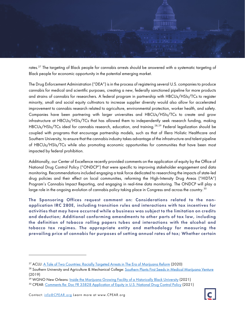

rates.<sup>[27](#page-19-0)</sup> The targeting of Black people for cannabis arrests should be answered with a systematic targeting of Black people for economic opportunity in the potential emerging market.

The Drug Enforcement Administration ("DEA") is in the process of registering several U.S. companies to produce cannabis for medical and scientific purposes, creating a new, federally sanctioned pipeline for more products and strains of cannabis for researchers. A federal program in partnership with HBCUs/HSIs/TCs to register minority, small and social equity cultivators to increase supplier diversity would also allow for accelerated improvement to cannabis research related to agriculture, environmental protection, worker health, and safety. Companies have been partnering with larger universities and HBCUs/HSIs/TCs to create and grow infrastructure at HBCUs/HSIs/TCs that has allowed them to independently seek research funding, making HBCUs/HSIs/TCs ideal for cannabis research, education, and training.<sup>[28,](#page-19-1)[29](#page-19-2)</sup> Federal legalization should be coupled with programs that encourage partnership models, such as that of Illera Holistic Healthcare and Southern University, to ensure that the cannabis industry takes advantage of the infrastructure and talent pipeline of HBCUs/HSIs/TCs while also promoting economic opportunities for communities that have been most impacted by federal prohibition.

Additionally, our Center of Excellence recently provided comments on the application of equity by the Office of National Drug Control Policy ("ONDCP") that were specific to improving stakeholder engagement and data monitoring. Recommendations included engaging a task force dedicated to researching the impacts of state-led drug policies and their effect on local communities, reforming the High-Intensity Drug Areas ("HIDTA") Program's Cannabis Impact Reporting, and engaging in real-time data monitoring. The ONDCP will play a large role in the ongoing evolution of cannabis policy taking place in Congress and across the country. $^{\rm 30}$  $^{\rm 30}$  $^{\rm 30}$ 

The Sponsoring Offices request comment on: Considerations related to the nonapplication IRC 280E, including transition rules and interactions with tax incentives for activities that may have occurred while a business was subject to the limitation on credits and deduction; Additional conforming amendments to other parts of tax law, including the definition of tobacco rolling papers tubes and interactions with the alcohol and tobacco tax regimes. The appropriate entity and methodology for measuring the prevailing price of cannabis for purposes of setting annual rates of tax; Whether certain

<span id="page-19-0"></span><sup>27</sup> ACLU[: A Tale of Two Countries: Racially Targeted Arrests in The Era of Marijuana Reform](https://www.aclu.org/report/tale-two-countries-racially-targeted-arrests-era-marijuana-reform) (2020)

<span id="page-19-1"></span><sup>&</sup>lt;sup>28</sup> Southern University and Agriculture & Mechanical College: [Southern Plants First Seeds in Medical Marijuana Venture](https://www.subr.edu/news/southern-plants-first-seeds-in-medical-marijuana-venture) (2019)

<span id="page-19-2"></span><sup>&</sup>lt;sup>29</sup> WGNO New Orleans: *Inside the Marijuana Growing Facility of a Historically Black University* (2021)

<span id="page-19-3"></span><sup>&</sup>lt;sup>30</sup> CPEAR: [Comments Re: Doc FR 35828 Application of Equity in U.S. National Drug Control Policy](https://www.cpear.org/wp-content/uploads/2021/08/210806-ONDCP-Comment-from-CPEAR.pdf) (2021)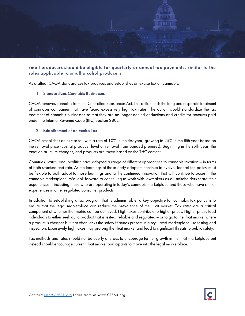

### small producers should be eligible for quarterly or annual tax payments, similar to the rules applicable to small alcohol producers.

As drafted, CAOA standardizes tax practices and establishes an excise tax on cannabis.

#### 1. Standardizes Cannabis Businesses

CAOA removes cannabis from the Controlled Substances Act. This action ends the long and disparate treatment of cannabis companies that have faced excessively high tax rates. The action would standardize the tax treatment of cannabis businesses so that they are no longer denied deductions and credits for amounts paid under the Internal Revenue Code (IRC) Section 280E.

#### 2. Establishment of an Excise Tax

CAOA establishes an excise tax with a rate of 10% in the first year, growing to 25% in the fifth year based on the removal price (cost at producer level or removal from bonded premises). Beginning in the sixth year, the taxation structure changes, and products are taxed based on the THC content.

Countries, states, and localities have adopted a range of different approaches to cannabis taxation – in terms of both structure and rate. As the learnings of those early adopters continue to evolve, federal tax policy must be flexible to both adapt to those learnings and to the continued innovation that will continue to occur in the cannabis marketplace. We look forward to continuing to work with lawmakers as all stakeholders share their experiences – including those who are operating in today's cannabis marketplace and those who have similar experiences in other regulated consumer products.

In addition to establishing a tax program that is administrable, a key objective for cannabis tax policy is to ensure that the legal marketplace can reduce the prevalence of the illicit market. Tax rates are a critical component of whether that metric can be achieved. High taxes contribute to higher prices. Higher prices lead individuals to either seek out a product that is tested, reliable and regulated – or to go to the illicit market where a product is cheaper but that often lacks the safety features present in a regulated marketplace like testing and inspection. Excessively high taxes may prolong the illicit market and lead to significant threats to public safety.

Tax methods and rates should not be overly onerous to encourage further growth in the illicit marketplace but instead should encourage current illicit market participants to move into the legal marketplace.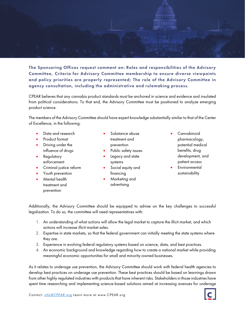

The Sponsoring Offices request comment on: Roles and responsibilities of the Advisory Committee, Criteria for Advisory Committee membership to ensure diverse viewpoints and policy priorities are properly represented; The role of the Advisory Committee in agency consultation, including the administrative and rulemaking process.

CPEAR believes that any cannabis product standards must be anchored in science and evidence and insulated from political considerations. To that end, the Advisory Committee must be positioned to analyze emerging product science.

The members of the Advisory Committee should have expert knowledge substantially similar to that of the Center of Excellence, in the following:

- Data and research
- Product format
- Driving under the influence of drugs
- **Regulatory** enforcement
- Criminal justice reform
- Youth prevention
	- Mental health treatment and prevention
- Substance abuse treatment and prevention
- Public safety issues
- Legacy and state systems
- Social equity and financing
- Marketing and advertising
- **Cannabinoid** pharmacology, potential medical benefits, drug development, and patient access
- **Environmental** sustainability

Additionally, the Advisory Committee should be equipped to advise on the key challenges to successful legalization. To do so, the committee will need representatives with:

- 1. An understanding of what actions will allow the legal market to capture the illicit market, and which actions will increase illicit market sales.
- 2. Expertise in state markets, so that the federal government can initially meeting the state systems where they are.
- 3. Experience in evolving federal regulatory systems based on science, data, and best practices.
- 4. An economic background and knowledge regarding how to create a national market while providing meaningful economic opportunities for small and minority-owned businesses.

As it relates to underage use prevention, the Advisory Committee should work with federal health agencies to develop best practices on underage use prevention. These best practices should be based on learnings drawn from other highly regulated industries with products that have inherent risks. Stakeholders in those industries have spent time researching and implementing science-based solutions aimed at increasing avenues for underage

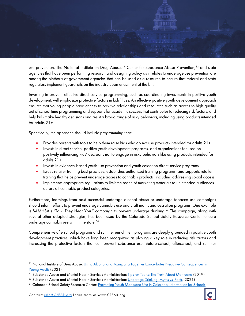

use prevention. The National Institute on Drug Abuse,<sup>[31](#page-22-0)</sup> Center for Substance Abuse Prevention,<sup>[32](#page-22-1)</sup> and state agencies that have been performing research and designing policy as it relates to underage use prevention are among the plethora of government agencies that can be used as a resource to ensure that federal and state regulators implement guardrails on the industry upon enactment of the bill.

Investing in proven, effective direct service programming, such as coordinating investments in positive youth development, will emphasize protective factors in kids' lives. An effective positive youth development approach ensures that young people have access to positive relationships and resources such as access to high quality out of school time programming and supports for academic success that contributes to reducing risk factors, and help kids make healthy decisions and resist a broad range of risky behaviors, including using products intended for adults 21+.

Specifically, the approach should include programming that:

- Provides parents with tools to help them raise kids who do not use products intended for adults 21+.
- Invests in direct service, positive youth development programs, and organizations focused on positively influencing kids' decisions not to engage in risky behaviors like using products intended for adults 21+.
- Invests in evidence-based youth use prevention and youth cessation direct service programs.
- Issues retailer training best practices, establishes authorized training programs, and supports retailer training that helps prevent underage access to cannabis products, including addressing social access.
- Implements appropriate regulations to limit the reach of marketing materials to unintended audiences across all cannabis product categories.

Furthermore, learnings from past successful underage alcohol abuse or underage tobacco use campaigns should inform efforts to prevent underage cannabis use and craft marijuana cessation programs. One example is SAMHSA's "Talk. They Hear You." campaign to prevent underage drinking.<sup>[33](#page-22-2)</sup> This campaign, along with several other adapted strategies, has been used by the Colorado School Safety Resource Center to curb underage cannabis use within the state.<sup>[34](#page-22-3)</sup>

Comprehensive afterschool programs and summer enrichment programs are deeply grounded in positive youth development practices, which have long been recognized as playing a key role in reducing risk factors and increasing the protective factors that can prevent substance use. Before-school, afterschool, and summer

<span id="page-22-0"></span><sup>&</sup>lt;sup>31</sup> National Institute of Drug Abuse: Using Alcohol and Marijuana Together Exacerbates Negative Consequences in [Young Adults](https://www.drugabuse.gov/news-events/nida-notes/2021/06/using-alcohol-marijuana-together-exacerbates-negative-consequences-young-adults) (2021)

<span id="page-22-1"></span><sup>&</sup>lt;sup>32</sup> Substance Abuse and Mental Health Services Administration: [Tips for Teens: The Truth About Marijuana](https://store.samhsa.gov/product/Tips-for-Teens-The-Truth-About-Marijuana/PEP19-05) (2019)

<span id="page-22-2"></span><sup>&</sup>lt;sup>33</sup> Substance Abuse and Mental Health Services Administration: *Underage Drinking: Myths vs. Facts* (2021)

<span id="page-22-3"></span><sup>34</sup> Colorado School Safety Resource Center: [Preventing Youth Marijuana Use in Colorado: Information for Schools](https://cdpsdocs.state.co.us/safeschools/CSSRC%20Documents/CSSRC_Preventing_Youth_Marijuana_Use_in_Colorado.pdf)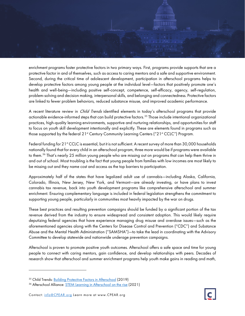

enrichment programs foster protective factors in two primary ways. First, programs provide supports that are a protective factor in and of themselves, such as access to caring mentors and a safe and supportive environment. Second, during the critical time of adolescent development, participation in afterschool programs helps to develop protective factors among young people at the individual level—factors that positively promote one's health and well-being—including positive self-concept, competence, self-efficacy, agency, self-regulation, problem-solving and decision making, interpersonal skills, and belonging and connectedness. Protective factors are linked to fewer problem behaviors, reduced substance misuse, and improved academic performance.

A recent literature review in *Child Trends* identified elements in today's afterschool programs that provide actionable evidence-informed steps that can build protective factors.<sup>[35](#page-23-0)</sup> Those include intentional organizational practices, high-quality learning environments, supportive and nurturing relationships, and opportunities for staff to focus on youth skill development intentionally and explicitly. These are elements found in programs such as those supported by the federal 21<sup>st</sup> Century Community Learning Centers ("21st CCLC") Program.

Federal funding for 21<sup>st</sup> CCLC is essential, but it is not sufficient. A recent survey of more than 30,000 households nationally found that for every child in an afterschool program, three more would be if programs were available to them.<sup>[36](#page-23-1)</sup> That's nearly 25 million young people who are missing out on programs that can help them thrive in and out of school. Most troubling is the fact that young people from families with low incomes are most likely to be missing out and they name cost and access as the top barriers to participation.

Approximately half of the states that have legalized adult use of cannabis—including Alaska, California, Colorado, Illinois, New Jersey, New York, and Vermont—are already investing, or have plans to invest cannabis tax revenue, back into youth development programs like comprehensive afterschool and summer enrichment. Ensuring complementary language is included in federal legislation strengthens the commitment to supporting young people, particularly in communities most heavily impacted by the war on drugs.

These best practices and resulting prevention campaigns should be funded by a significant portion of the tax revenue derived from the industry to ensure widespread and consistent adoption. This would likely require deputizing federal agencies that have experience managing drug misuse and overdose issues—such as the aforementioned agencies along with the Centers for Disease Control and Prevention ("CDC") and Substance Abuse and the Mental Health Administration ("SAMSHA")—to take the lead in coordinating with the Advisory Committee to develop statewide and nationwide underage prevention campaigns.

Afterschool is proven to promote positive youth outcomes. Afterschool offers a safe space and time for young people to connect with caring mentors, gain confidence, and develop relationships with peers. Decades of research show that afterschool and summer enrichment programs help youth make gains in reading and math,

<span id="page-23-0"></span><sup>&</sup>lt;sup>35</sup> Child Trends: **Building Protective Factors in Afterschool** (2019)

<span id="page-23-1"></span><sup>&</sup>lt;sup>36</sup> Afterschool Alliance: **STEM Learning in Afterschool on the rise** (2021)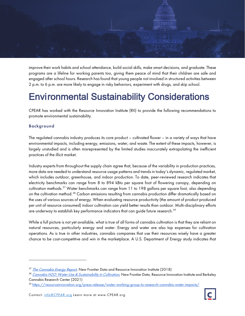

improve their work habits and school attendance, build social skills, make smart decisions, and graduate. These programs are a lifeline for working parents too, giving them peace of mind that their children are safe and engaged after school hours. Research has found that young people not involved in structured activities between 2 p.m. to 6 p.m. are more likely to engage in risky behaviors, experiment with drugs, and skip school.

## Environmental Sustainability Considerations

CPEAR has worked with the Resource Innovation Institute (RII) to provide the following recommendations to promote environmental sustainability.

## Background

The regulated cannabis industry produces its core product – cultivated flower – in a variety of ways that have environmental impacts, including energy, emissions, water, and waste. The extent of these impacts, however, is largely unstudied and is often misrepresented by the limited studies inaccurately extrapolating the inefficient practices of the illicit market.

Industry experts from throughout the supply chain agree that, because of the variability in production practices, more data are needed to understand resource usage patterns and trends in today's dynamic, regulated market, which includes outdoor, greenhouse, and indoor production. To date, peer-reviewed research indicates that electricity benchmarks can range from 8 to 894 kBtu per square foot of flowering canopy, depending on cultivation methods.<sup>[37](#page-24-0)</sup> Water benchmarks can range from 11 to 198 gallons per square foot, also depending on the cultivation method.<sup>[38](#page-24-1)</sup> Carbon emissions resulting from cannabis production differ dramatically based on the uses of various sources of energy. When evaluating resource productivity (the amount of product produced per unit of resource consumed) indoor cultivation can yield better results than outdoor. Multi-disciplinary efforts are underway to establish key performance indicators that can guide future research. $^{\rm 39}$  $^{\rm 39}$  $^{\rm 39}$ 

While a full picture is not yet available, what is true of all forms of cannabis cultivation is that they are reliant on natural resources, particularly energy and water. Energy and water are also top expenses for cultivation operations. As is true in other industries, cannabis companies that use their resources wisely have a greater chance to be cost-competitive and win in the marketplace. A U.S. Department of Energy study indicates that

<span id="page-24-0"></span><sup>&</sup>lt;sup>37</sup> [The Cannabis Energy Report](https://newfrontierdata.com/product/2018-cannabis-energy-report/), New Frontier Data and Resource Innovation Institute (2018)

<span id="page-24-1"></span><sup>&</sup>lt;sup>38</sup> [Cannabis H2O: Water Use & Sustainability in Cultivation](https://newfrontierdata.com/product/cannabis-h2o-water-use-and-sustainability-in-cultivation/), New Frontier Data, Resource Innovation Institute and Berkeley Cannabis Research Center (2021)

<span id="page-24-2"></span><sup>39</sup> <https://resourceinnovation.org/press-release/water-working-group-to-research-cannabis-water-impacts/>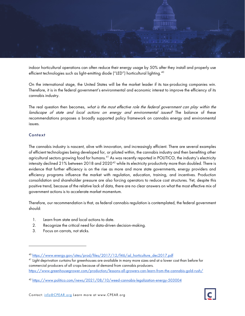

indoor horticultural operations can often reduce their energy usage by 50% after they install and properly use efficient technologies such as light-emitting diode ("LED") horticultural lighting. [40](#page-25-0)

On the international stage, the United States will be the market leader if its tax-producing companies win. Therefore, it is in the federal government's environmental and economic interest to improve the efficiency of its cannabis industry.

The real question then becomes, what is the most effective role the federal government can play within the landscape of state and local actions on energy and environmental issues? The balance of these recommendations proposes a broadly supported policy framework on cannabis energy and environmental issues.

### **Context**

The cannabis industry is nascent, alive with innovation, and increasingly efficient. There are several examples of efficient technologies being developed for, or piloted within, the cannabis industry and then benefiting other agricultural sectors growing food for humans.<sup>[41](#page-25-1)</sup> As was recently reported in POLITICO, the industry's electricity intensity declined 21% between 2018 and 2020<sup>[42](#page-25-2)</sup> while its electricity productivity more than doubled. There is evidence that further efficiency is on the rise as more and more state governments, energy providers and efficiency programs influence the market with regulation, education, training, and incentives. Production consolidation and shareholder pressure are also forcing operators to reduce cost structures. Yet, despite this positive trend, because of the relative lack of data, there are no clear answers on what the most effective mix of government actions is to accelerate market momentum.

Therefore, our recommendation is that, as federal cannabis regulation is contemplated, the federal government should:

- 1. Learn from state and local actions to date.
- 2. Recognize the critical need for data-driven decision-making.
- 3. Focus on carrots, not sticks.

<span id="page-25-0"></span><sup>&</sup>lt;sup>40</sup> [https://www.energy.gov/sites/prod/files/2017/12/f46/ssl\\_horticulture\\_dec2017.pdf](https://www.energy.gov/sites/prod/files/2017/12/f46/ssl_horticulture_dec2017.pdf)

<span id="page-25-1"></span><sup>41</sup> Light deprivation curtains for greenhouses are available in many more sizes and at a lower cost than before for commercial producers of all crops because of demand from cannabis producers. <https://www.greenhousegrower.com/production/lessons-all-growers-can-learn-from-the-cannabis-gold-rush/>

<span id="page-25-2"></span><sup>42</sup> <https://www.politico.com/news/2021/08/10/weed-cannabis-legalization-energy-503004>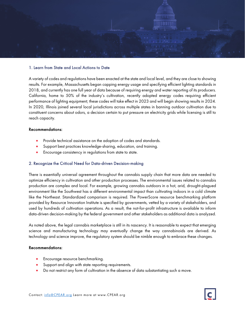

#### 1. Learn from State and Local Actions to Date

A variety of codes and regulations have been enacted at the state and local level, and they are close to showing results. For example, Massachusetts began capping energy usage and specifying efficient lighting standards in 2018, and currently has one full year of data because of requiring energy and water reporting of its producers. California, home to 50% of the industry's cultivation, recently adopted energy codes requiring efficient performance of lighting equipment; these codes will take effect in 2023 and will begin showing results in 2024. In 2020, Illinois joined several local jurisdictions across multiple states in banning outdoor cultivation due to constituent concerns about odors, a decision certain to put pressure on electricity grids while licensing is still to reach capacity.

#### Recommendations:

- Provide technical assistance on the adoption of codes and standards.
- Support best practices knowledge-sharing, education, and training.
- Encourage consistency in regulations from state to state.

#### 2. Recognize the Critical Need for Data-driven Decision-making

There is essentially universal agreement throughout the cannabis supply chain that more data are needed to optimize efficiency in cultivation and other production processes. The environmental issues related to cannabis production are complex and local. For example, growing cannabis outdoors in a hot, arid, drought-plagued environment like the Southwest has a different environmental impact than cultivating indoors in a cold climate like the Northeast. Standardized comparison is required. The PowerScore resource benchmarking platform provided by Resource Innovation Institute is specified by governments, vetted by a variety of stakeholders, and used by hundreds of cultivation operations. As a result, the not-for-profit infrastructure is available to inform data-driven decision-making by the federal government and other stakeholders as additional data is analyzed.

As noted above, the legal cannabis marketplace is still in its nascency. It is reasonable to expect that emerging science and manufacturing technology may eventually change the way cannabinoids are derived. As technology and science improve, the regulatory system should be nimble enough to embrace these changes.

#### Recommendations:

- Encourage resource benchmarking.
- Support and align with state reporting requirements.
- Do not restrict any form of cultivation in the absence of data substantiating such a move.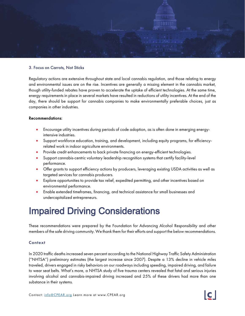

#### 3. Focus on Carrots, Not Sticks

Regulatory actions are extensive throughout state and local cannabis regulation, and those relating to energy and environmental issues are on the rise. Incentives are generally a missing element in the cannabis market, though utility-funded rebates have proven to accelerate the uptake of efficient technologies. At the same time, energy requirements in place in several markets have resulted in reductions of utility incentives. At the end of the day, there should be support for cannabis companies to make environmentally preferable choices, just as companies in other industries.

#### Recommendations:

- Encourage utility incentives during periods of code adoption, as is often done in emerging energyintensive industries.
- Support workforce education, training, and development, including equity programs, for efficiencyrelated work in indoor agriculture environments.
- Provide credit enhancements to back private financing on energy-efficient technologies.
- Support cannabis-centric voluntary leadership recognition systems that certify facility-level performance.
- Offer grants to support efficiency actions by producers, leveraging existing USDA activities as well as targeted services for cannabis producers.
- Explore opportunities to provide tax relief, expedited permitting, and other incentives based on environmental performance.
- Enable extended timeframes, financing, and technical assistance for small businesses and undercapitalized entrepreneurs.

## Impaired Driving Considerations

These recommendations were prepared by the Foundation for Advancing Alcohol Responsibility and other members of the safe driving community. We thank them for their efforts and support the below recommendations.

#### **Context**

In 2020 traffic deaths increased seven percent according to the National Highway Traffic Safety Administration ("NHTSA") preliminary estimates (the largest increase since 2007). Despite a 13% decline in vehicle miles traveled, drivers engaged in risky behaviors on our roadways including speeding, impaired driving, and failure to wear seat belts. What's more, a NHTSA study of five trauma centers revealed that fatal and serious injuries involving alcohol and cannabis-impaired driving increased and 25% of these drivers had more than one substance in their systems.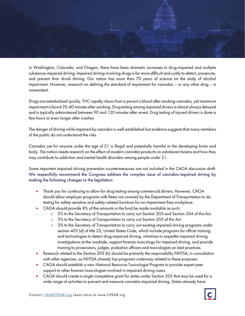

In Washington, Colorado, and Oregon, there have been dramatic increases in drug-impaired and multiple substance-impaired driving. Impaired driving involving drugs is far more difficult and costly to detect, prosecute, and prevent than drunk driving. Our nation has more than 70 years of science on the study of alcohol impairment. However, research on defining the standard of impairment for cannabis – or any other drug – is nonexistent.

Drugs are metabolized quickly. THC rapidly clears from a person's blood after smoking cannabis, yet maximum impairment is found 20-40 minutes after smoking. Drug testing among impaired drivers is almost always delayed and is typically administered between 90 and 120 minutes after arrest. Drug testing of injured drivers is done a few hours or even longer after crashes.

The danger of driving while impaired by cannabis is well-established but evidence suggests that many members of the public do not understand the risks.

Cannabis use for anyone under the age of 21 is illegal and potentially harmful to the developing brain and body. The nation needs research on the effect of modern cannabis products on adolescent brains and how they may contribute to addiction and mental health disorders among people under 21.

Some important impaired driving prevention countermeasures are not included in the CAOA discussion draft. We respectfully recommend the Congress address the complex issue of cannabis-impaired driving by making the following changes to the legislation:

- Thank you for continuing to allow for drug testing among commercial drivers. However, CAOA should allow employer programs with fleets not covered by the Department of Transportation to do testing for safety-sensitive and safety-related functions for an impairment-free workplace.
- CAOA should provide 8% of the amounts in the fund be made available as such:
	- o 2% to the Secretary of Transportation to carry out Section 203 and Section 204 of this Act.
	- o 3% to the Secretary of Transportation to carry out Section 205 of this Act.
	- o 3% to the Secretary of Transportation to carry out existing impaired driving programs under section 405 (d) of title 23, United States Code, which include programs for officer training and technologies to detect drug-impaired driving, initiatives to expedite impaired driving investigations at the roadside, support forensic toxicology for impaired driving, and provide training to prosecutors, judges, probation officers and toxicologists on best practices.
- Research related to the Section 203 (b) should be primarily the responsibility NHTSA, in consultation with other agencies, as NHTSA already has programs underway related to these purposes.
- CAOA should establish a new National Resource Toxicologist Program to provide expert peer support to other forensic toxicologists involved in impaired driving cases.
- CAOA should create a single competitive grant for states under Section 205 that may be used for a wide range of activities to prevent and measure cannabis-impaired driving. States already have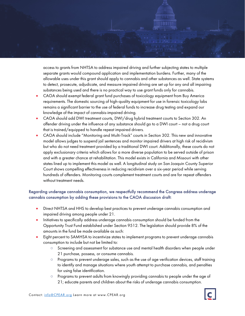access to grants from NHTSA to address impaired driving and further subjecting states to multiple separate grants would compound application and implementation burdens. Further, many of the allowable uses under this grant should apply to cannabis and other substances as well. State systems to detect, prosecute, adjudicate, and measure impaired driving are set up for any and all impairing substances being used and there is no practical way to use grant funds only for cannabis.

- CAOA should exempt federal grant fund purchases of toxicology equipment from Buy America requirements. The domestic sourcing of high-quality equipment for use in forensic toxicology labs remains a significant barrier to the use of federal funds to increase drug testing and expand our knowledge of the impact of cannabis-impaired driving.
- CAOA should add DWI treatment courts, DWI/drug hybrid treatment courts to Section 302. An offender driving under the influence of any substance should go to a DWI court – not a drug court that is trained/equipped to handle repeat impaired drivers.
- CAOA should include "Monitoring and Multi-Track" courts in Section 302. This new and innovative model allows judges to suspend jail sentences and monitor impaired drivers at high risk of recidivism but who do not need treatment provided by a traditional DWI court. Additionally, these courts do not apply exclusionary criteria which allows for a more diverse population to be served outside of prison and with a greater chance at rehabilitation. This model exists in California and Missouri with other states lined up to implement this model as well. A longitudinal study on San Joaquin County Superior Court shows compelling effectiveness in reducing recidivism over a six-year period while serving hundreds of offenders. Monitoring courts complement treatment courts and are for repeat offenders without treatment needs.

## Regarding underage cannabis consumption, we respectfully recommend the Congress address underage cannabis consumption by adding these provisions to the CAOA discussion draft:

- Direct NHTSA and HHS to develop best practices to prevent underage cannabis consumption and impaired driving among people under 21.
- Initiatives to specifically address underage cannabis consumption should be funded from the Opportunity Trust Fund established under Section 9512. The legislation should provide 8% of the amounts in the fund be made available as such:
- Eight percent to SAMHSA to incentivize states to implement programs to prevent underage cannabis consumption to include but not be limited to:
	- Screening and assessment for substance use and mental health disorders when people under 21 purchase, possess, or consume cannabis.
	- Programs to prevent underage sales, such as the use of age verification devices, staff training to identify and manage situations where youth attempt to purchase cannabis, and penalties for using false identification.
	- Programs to prevent adults from knowingly providing cannabis to people under the age of 21; educate parents and children about the risks of underage cannabis consumption.